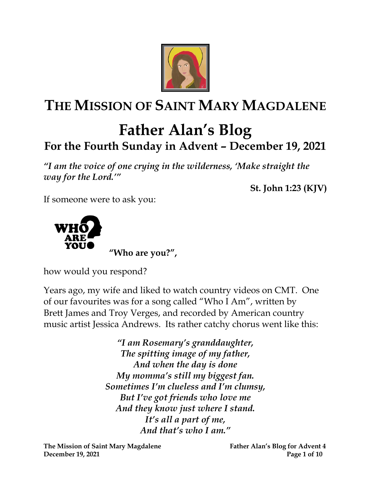

## **THE MISSION OF SAINT MARY MAGDALENE**

## **Father Alan's Blog For the Fourth Sunday in Advent – December 19, 2021**

*"I am the voice of one crying in the wilderness, 'Make straight the way for the Lord.'"*

**St. John 1:23 (KJV)**

If someone were to ask you:



how would you respond?

Years ago, my wife and liked to watch country videos on CMT. One of our favourites was for a song called "Who I Am", written by Brett James and Troy Verges, and recorded by American country music artist Jessica Andrews. Its rather catchy chorus went like this:

> *"I am Rosemary's granddaughter, The [spitting](https://www.definitions.net/definition/spitting) image of my father, And when the day is done My momma's [still](https://www.definitions.net/definition/still) my [biggest](https://www.definitions.net/definition/biggest) fan. Sometimes I'm [clueless](https://www.definitions.net/definition/clueless) and I'm clumsy, But I've got [friends](https://www.definitions.net/definition/friends) who love me And they know just [where](https://www.definitions.net/definition/where) I stand. It's all a part of me, And that's who I am."*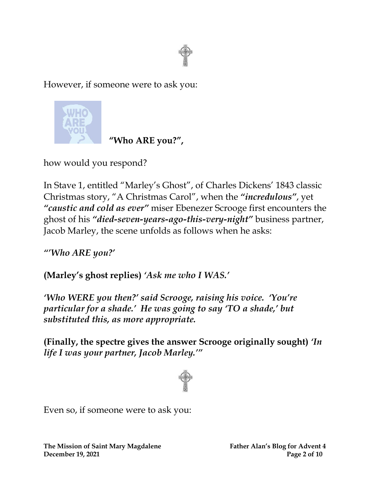

However, if someone were to ask you:



**"Who ARE you?" ,**

how would you respond?

In Stave 1, entitled "Marley's Ghost", of Charles Dickens' 1843 classic Christmas story, "A Christmas Carol", when the *"incredulous"*, yet *"caustic and cold as ever"* miser Ebenezer Scrooge first encounters the ghost of his *"died-seven-years-ago-this-very-night"* business partner, Jacob Marley, the scene unfolds as follows when he asks:

*"'Who ARE you?'*

**(Marley's ghost replies)** *'Ask me who I WAS.'*

*'Who WERE you then?' said Scrooge, raising his voice. 'You're particular for a shade.' He was going to say 'TO a shade,' but substituted this, as more appropriate.*

**(Finally, the spectre gives the answer Scrooge originally sought)** *'In life I was your partner, Jacob Marley.'"*



Even so, if someone were to ask you: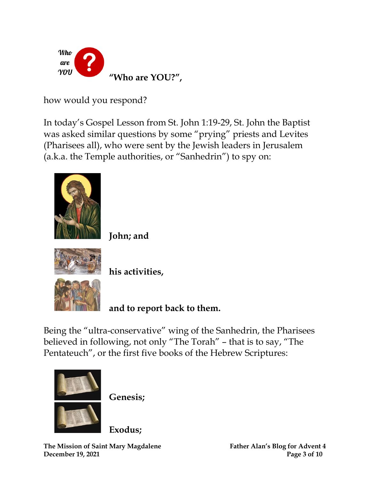

how would you respond?

In today's Gospel Lesson from St. John 1:19-29, St. John the Baptist was asked similar questions by some "prying" priests and Levites (Pharisees all), who were sent by the Jewish leaders in Jerusalem (a.k.a. the Temple authorities, or "Sanhedrin") to spy on:



**John; and** 



**his activities,**

## **and to report back to them.**

Being the "ultra-conservative" wing of the Sanhedrin, the Pharisees believed in following, not only "The Torah" – that is to say, "The Pentateuch", or the first five books of the Hebrew Scriptures:



**Genesis;**

**Exodus;**

**The Mission of Saint Mary Magdalene Father Alan's Blog for Advent 4 December 19, 2021 Page 3 of 10**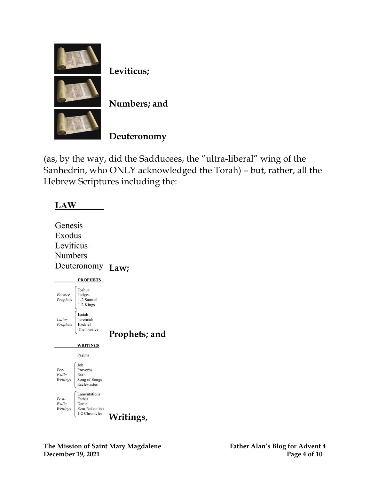

**Leviticus;**

**Numbers; and**

**Deuteronomy**

(as, by the way, did the Sadducees, the "ultra-liberal" wing of the Sanhedrin, who ONLY acknowledged the Torah) – but, rather, all the Hebrew Scriptures including the:

| LAW                                                                                                |               |
|----------------------------------------------------------------------------------------------------|---------------|
| Genesis                                                                                            |               |
| Exodus                                                                                             |               |
| Leviticus                                                                                          |               |
| <b>Numbers</b>                                                                                     |               |
| Deuteronomy                                                                                        | Law;          |
| <b>PROPHETS</b>                                                                                    |               |
| Joshua<br>Former<br>Judges<br>1-2 Samuel<br>Prophets<br>1-2 Kings                                  |               |
| Isaiah<br>Latter<br>Jeremiah<br>Ezekiel<br>Prophets<br>The Twelve                                  | Prophets; and |
| WRITINGS                                                                                           |               |
| Psalms                                                                                             |               |
| Job<br>$Pre-$<br>Proverbs<br>Exilic<br>Ruth<br>Song of Songs<br>Writings<br>Ecclesiastes           |               |
| Lamentations<br>Esther<br>$Post-$<br>Exilic<br>Daniel<br>Ezra-Nehemiah<br>Writings<br>2 Chronicles | Writings,     |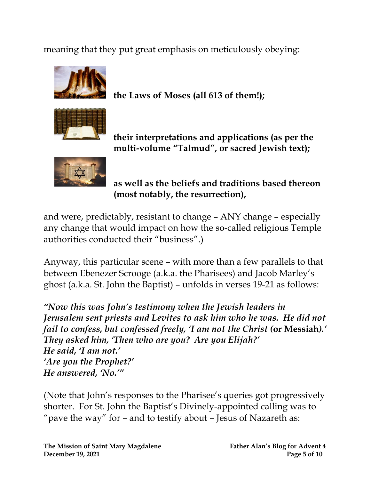meaning that they put great emphasis on meticulously obeying:



 **the Laws of Moses (all 613 of them!);**



 **their interpretations and applications (as per the multi-volume "Talmud", or sacred Jewish text);**



 **as well as the beliefs and traditions based thereon (most notably, the resurrection),**

and were, predictably, resistant to change – ANY change – especially any change that would impact on how the so-called religious Temple authorities conducted their "business".)

Anyway, this particular scene – with more than a few parallels to that between Ebenezer Scrooge (a.k.a. the Pharisees) and Jacob Marley's ghost (a.k.a. St. John the Baptist) – unfolds in verses 19-21 as follows:

*"Now this was John's testimony when the Jewish leaders in Jerusalem sent priests and Levites to ask him who he was. He did not fail to confess, but confessed freely, 'I am not the Christ (***or Messiah***).' They asked him, 'Then who are you? Are you Elijah?' He said, 'I am not.' 'Are you the Prophet?' He answered, 'No.'"*

(Note that John's responses to the Pharisee's queries got progressively shorter. For St. John the Baptist's Divinely-appointed calling was to "pave the way" for – and to testify about – Jesus of Nazareth as: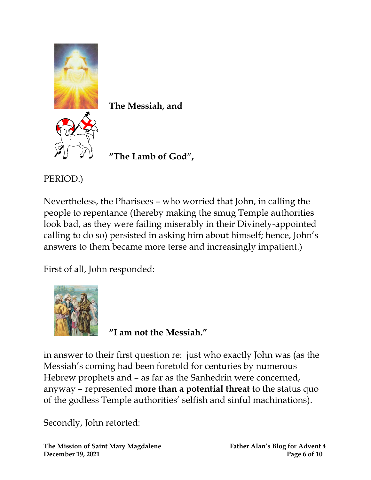

**The Messiah, and**

**"The Lamb of God" ,** 

PERIOD.)

Nevertheless, the Pharisees – who worried that John, in calling the people to repentance (thereby making the smug Temple authorities look bad, as they were failing miserably in their Divinely-appointed calling to do so) persisted in asking him about himself; hence, John's answers to them became more terse and increasingly impatient.)

First of all, John responded:



**"I am not the Messiah."**

in answer to their first question re: just who exactly John was (as the Messiah's coming had been foretold for centuries by numerous Hebrew prophets and – as far as the Sanhedrin were concerned, anyway – represented **more than a potential threat** to the status quo of the godless Temple authorities' selfish and sinful machinations).

Secondly, John retorted: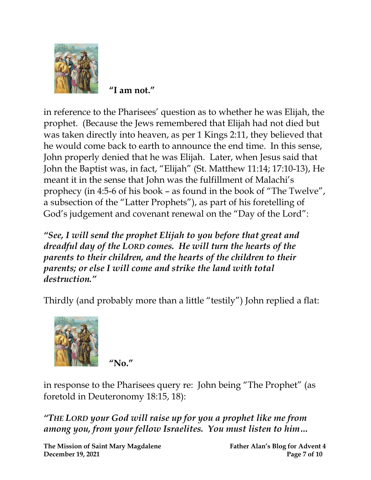

**"I am not."**

in reference to the Pharisees' question as to whether he was Elijah, the prophet. (Because the Jews remembered that Elijah had not died but was taken directly into heaven, as per 1 Kings 2:11, they believed that he would come back to earth to announce the end time. In this sense, John properly denied that he was Elijah. Later, when Jesus said that John the Baptist was, in fact, "Elijah" (St. Matthew 11:14; 17:10-13), He meant it in the sense that John was the fulfillment of Malachi's prophecy (in 4:5-6 of his book – as found in the book of "The Twelve", a subsection of the "Latter Prophets"), as part of his foretelling of God's judgement and covenant renewal on the "Day of the Lord":

*"See, I will send the prophet Elijah to you before that great and dreadful day of the LORD comes. He will turn the hearts of the parents to their children, and the hearts of the children to their parents; or else I will come and strike the land with total destruction."*

Thirdly (and probably more than a little "testily") John replied a flat:



**"No."**

in response to the Pharisees query re: John being "The Prophet" (as foretold in Deuteronomy 18:15, 18):

*"THE LORD your God will raise up for you a prophet like me from among you, from your fellow Israelites. You must listen to him…*

**The Mission of Saint Mary Magdalene Father Alan's Blog for Advent 4 December 19, 2021 Page 7** of 10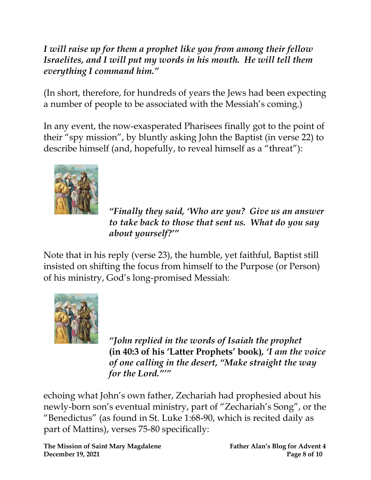*I will raise up for them a prophet like you from among their fellow Israelites, and I will put my words in his mouth. He will tell them everything I command him."*

(In short, therefore, for hundreds of years the Jews had been expecting a number of people to be associated with the Messiah's coming.)

In any event, the now-exasperated Pharisees finally got to the point of their "spy mission", by bluntly asking John the Baptist (in verse 22) to describe himself (and, hopefully, to reveal himself as a "threat"):



*"Finally they said, 'Who are you? Give us an answer to take back to those that sent us. What do you say about yourself?'"*

Note that in his reply (verse 23), the humble, yet faithful, Baptist still insisted on shifting the focus from himself to the Purpose (or Person) of his ministry, God's long-promised Messiah:



*"John replied in the words of Isaiah the prophet* **(in 40:3 of his 'Latter Prophets' book)***, 'I am the voice of one calling in the desert, "Make straight the way for the Lord."'"*

echoing what John's own father, Zechariah had prophesied about his newly-born son's eventual ministry, part of "Zechariah's Song", or the "Benedictus" (as found in St. Luke 1:68-90, which is recited daily as part of Mattins), verses 75-80 specifically:

**The Mission of Saint Mary Magdalene Father Alan's Blog for Advent 4 December 19, 2021 Page 8 of 10**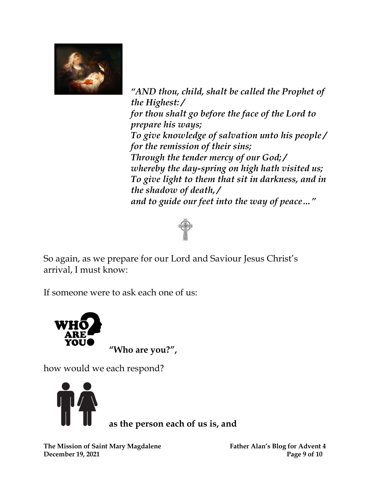

*"AND thou, child, shalt be called the Prophet of the Highest: / for thou shalt go before the face of the Lord to prepare his ways; To give knowledge of salvation unto his people / for the remission of their sins; Through the tender mercy of our God; / whereby the day-spring on high hath visited us; To give light to them that sit in darkness, and in the shadow of death, / and to guide our feet into the way of peace…"*



So again, as we prepare for our Lord and Saviour Jesus Christ's arrival, I must know:

If someone were to ask each one of us:



how would we each respond?



**as the person each of us is, and**